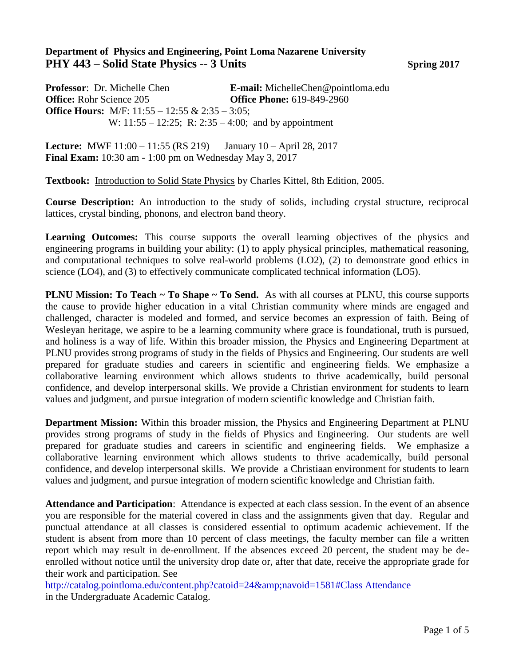## **Department of Physics and Engineering, Point Loma Nazarene University PHY 443 – Solid State Physics -- 3 Units Spring 2017**

**Professor**: Dr. Michelle Chen **E-mail:** MichelleChen@pointloma.edu **Office:** Rohr Science 205 **Office Phone:** 619-849-2960 **Office Hours:** M/F: 11:55 – 12:55 & 2:35 – 3:05; W: 11:55 – 12:25; R: 2:35 – 4:00; and by appointment

**Lecture:** MWF 11:00 – 11:55 (RS 219) January 10 – April 28, 2017 **Final Exam:** 10:30 am - 1:00 pm on Wednesday May 3, 2017

**Textbook:** Introduction to Solid State Physics by Charles Kittel, 8th Edition, 2005.

**Course Description:** An introduction to the study of solids, including crystal structure, reciprocal lattices, crystal binding, phonons, and electron band theory.

Learning Outcomes: This course supports the overall learning objectives of the physics and engineering programs in building your ability: (1) to apply physical principles, mathematical reasoning, and computational techniques to solve real-world problems (LO2), (2) to demonstrate good ethics in science (LO4), and (3) to effectively communicate complicated technical information (LO5).

**PLNU Mission: To Teach ~ To Shape ~ To Send.** As with all courses at PLNU, this course supports the cause to provide higher education in a vital Christian community where minds are engaged and challenged, character is modeled and formed, and service becomes an expression of faith. Being of Wesleyan heritage, we aspire to be a learning community where grace is foundational, truth is pursued, and holiness is a way of life. Within this broader mission, the Physics and Engineering Department at PLNU provides strong programs of study in the fields of Physics and Engineering. Our students are well prepared for graduate studies and careers in scientific and engineering fields. We emphasize a collaborative learning environment which allows students to thrive academically, build personal confidence, and develop interpersonal skills. We provide a Christian environment for students to learn values and judgment, and pursue integration of modern scientific knowledge and Christian faith.

**Department Mission:** Within this broader mission, the Physics and Engineering Department at PLNU provides strong programs of study in the fields of Physics and Engineering. Our students are well prepared for graduate studies and careers in scientific and engineering fields. We emphasize a collaborative learning environment which allows students to thrive academically, build personal confidence, and develop interpersonal skills. We provide a Christiaan environment for students to learn values and judgment, and pursue integration of modern scientific knowledge and Christian faith.

**Attendance and Participation**: Attendance is expected at each class session. In the event of an absence you are responsible for the material covered in class and the assignments given that day. Regular and punctual attendance at all classes is considered essential to optimum academic achievement. If the student is absent from more than 10 percent of class meetings, the faculty member can file a written report which may result in de-enrollment. If the absences exceed 20 percent, the student may be deenrolled without notice until the university drop date or, after that date, receive the appropriate grade for their work and participation. See

http://catalog.pointloma.edu/content.php?catoid=24&navoid=1581#Class Attendance in the Undergraduate Academic Catalog.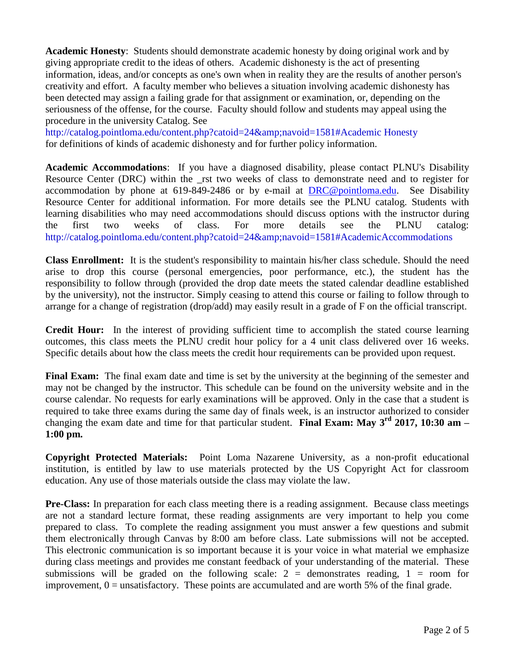**Academic Honesty**: Students should demonstrate academic honesty by doing original work and by giving appropriate credit to the ideas of others. Academic dishonesty is the act of presenting information, ideas, and/or concepts as one's own when in reality they are the results of another person's creativity and effort. A faculty member who believes a situation involving academic dishonesty has been detected may assign a failing grade for that assignment or examination, or, depending on the seriousness of the offense, for the course. Faculty should follow and students may appeal using the procedure in the university Catalog. See

http://catalog.pointloma.edu/content.php?catoid=24&navoid=1581#Academic Honesty for definitions of kinds of academic dishonesty and for further policy information.

**Academic Accommodations**: If you have a diagnosed disability, please contact PLNU's Disability Resource Center (DRC) within the rst two weeks of class to demonstrate need and to register for accommodation by phone at 619-849-2486 or by e-mail at [DRC@pointloma.edu.](mailto:DRC@pointloma.edu) See Disability Resource Center for additional information. For more details see the PLNU catalog. Students with learning disabilities who may need accommodations should discuss options with the instructor during the first two weeks of class. For more details see the PLNU catalog: http://catalog.pointloma.edu/content.php?catoid=24&navoid=1581#AcademicAccommodations

**Class Enrollment:** It is the student's responsibility to maintain his/her class schedule. Should the need arise to drop this course (personal emergencies, poor performance, etc.), the student has the responsibility to follow through (provided the drop date meets the stated calendar deadline established by the university), not the instructor. Simply ceasing to attend this course or failing to follow through to arrange for a change of registration (drop/add) may easily result in a grade of F on the official transcript.

**Credit Hour:** In the interest of providing sufficient time to accomplish the stated course learning outcomes, this class meets the PLNU credit hour policy for a 4 unit class delivered over 16 weeks. Specific details about how the class meets the credit hour requirements can be provided upon request.

**Final Exam:** The final exam date and time is set by the university at the beginning of the semester and may not be changed by the instructor. This schedule can be found on the university website and in the course calendar. No requests for early examinations will be approved. Only in the case that a student is required to take three exams during the same day of finals week, is an instructor authorized to consider changing the exam date and time for that particular student. **Final Exam: May 3 rd 2017, 10:30 am – 1:00 pm.**

**Copyright Protected Materials:** Point Loma Nazarene University, as a non-profit educational institution, is entitled by law to use materials protected by the US Copyright Act for classroom education. Any use of those materials outside the class may violate the law.

**Pre-Class:** In preparation for each class meeting there is a reading assignment. Because class meetings are not a standard lecture format, these reading assignments are very important to help you come prepared to class. To complete the reading assignment you must answer a few questions and submit them electronically through Canvas by 8:00 am before class. Late submissions will not be accepted. This electronic communication is so important because it is your voice in what material we emphasize during class meetings and provides me constant feedback of your understanding of the material. These submissions will be graded on the following scale:  $2 =$  demonstrates reading,  $1 =$  room for improvement,  $0 =$  unsatisfactory. These points are accumulated and are worth 5% of the final grade.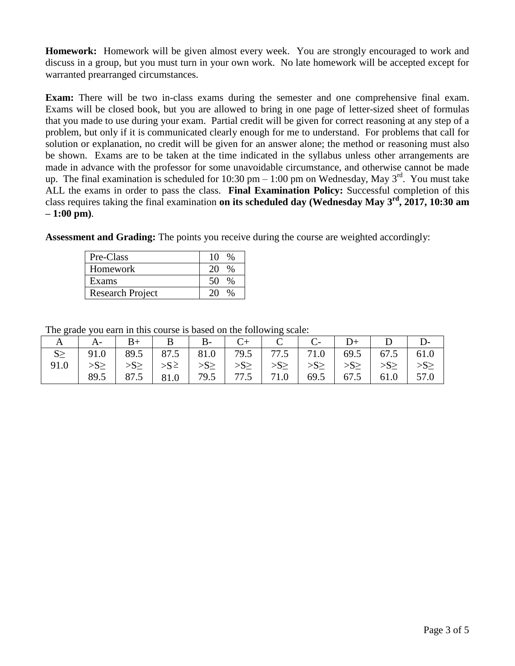**Homework:** Homework will be given almost every week. You are strongly encouraged to work and discuss in a group, but you must turn in your own work. No late homework will be accepted except for warranted prearranged circumstances.

**Exam:** There will be two in-class exams during the semester and one comprehensive final exam. Exams will be closed book, but you are allowed to bring in one page of letter-sized sheet of formulas that you made to use during your exam. Partial credit will be given for correct reasoning at any step of a problem, but only if it is communicated clearly enough for me to understand. For problems that call for solution or explanation, no credit will be given for an answer alone; the method or reasoning must also be shown. Exams are to be taken at the time indicated in the syllabus unless other arrangements are made in advance with the professor for some unavoidable circumstance, and otherwise cannot be made up. The final examination is scheduled for 10:30 pm – 1:00 pm on Wednesday, May  $3^{rd}$ . You must take ALL the exams in order to pass the class. **Final Examination Policy:** Successful completion of this class requires taking the final examination **on its scheduled day (Wednesday May 3 rd, 2017, 10:30 am – 1:00 pm)**.

**Assessment and Grading:** The points you receive during the course are weighted accordingly:

| Pre-Class               | 10      |
|-------------------------|---------|
| Homework                | $\%$    |
| Exams                   | 50<br>% |
| <b>Research Project</b> |         |

The grade you earn in this course is based on the following scale:

| $\mathbf{A}$ | $A$ -                                                                                                                                                    |  |  | $\vert B+ \vert B \vert B- \vert C+ \vert C \vert C- \vert D+ \vert D \vert$ |  |  |
|--------------|----------------------------------------------------------------------------------------------------------------------------------------------------------|--|--|------------------------------------------------------------------------------|--|--|
|              | 91.0   89.5   87.5   81.0   79.5   77.5   71.0   69.5   67.5   61.0                                                                                      |  |  |                                                                              |  |  |
| 91.0         | $  \ggg \rangle$ $  \ggg \rangle$ $  \ggg \rangle$ $  \ggg \rangle$ $  \ggg \rangle$ $  \ggg \rangle$ $  \ggg \rangle$ $  \ggg \rangle$ $  \ggg \rangle$ |  |  |                                                                              |  |  |
|              | 89.5                                                                                                                                                     |  |  | 87.5   81.0   79.5   77.5   71.0   69.5   67.5   61.0   57.0                 |  |  |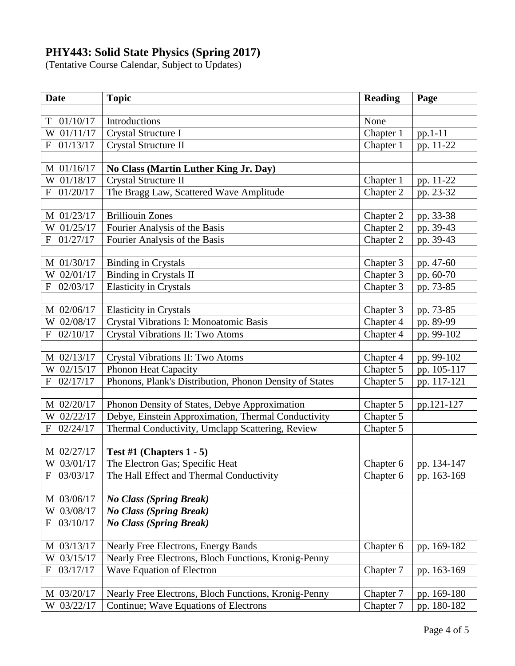## **PHY443: Solid State Physics (Spring 2017)**

(Tentative Course Calendar, Subject to Updates)

| <b>Date</b>              | <b>Topic</b>                                            | <b>Reading</b> | Page        |
|--------------------------|---------------------------------------------------------|----------------|-------------|
|                          |                                                         |                |             |
| 01/10/17<br>T            | Introductions                                           | None           |             |
| W 01/11/17               | Crystal Structure I                                     | Chapter 1      | pp.1-11     |
| 01/13/17<br>F            | Crystal Structure II                                    | Chapter 1      | pp. 11-22   |
|                          |                                                         |                |             |
| M 01/16/17               | No Class (Martin Luther King Jr. Day)                   |                |             |
| W 01/18/17               | Crystal Structure II                                    | Chapter 1      | pp. 11-22   |
| 01/20/17<br>F            | The Bragg Law, Scattered Wave Amplitude                 | Chapter 2      | pp. 23-32   |
|                          |                                                         |                |             |
| M 01/23/17               | <b>Brilliouin Zones</b>                                 | Chapter 2      | pp. 33-38   |
| W 01/25/17               | Fourier Analysis of the Basis                           | Chapter 2      | pp. 39-43   |
| 01/27/17<br>$\mathbf{F}$ | Fourier Analysis of the Basis                           | Chapter 2      | pp. 39-43   |
|                          |                                                         |                |             |
| M 01/30/17               | <b>Binding in Crystals</b>                              | Chapter 3      | pp. 47-60   |
| W 02/01/17               | <b>Binding in Crystals II</b>                           | Chapter 3      | pp. 60-70   |
| 02/03/17<br>$\mathbf{F}$ | <b>Elasticity in Crystals</b>                           | Chapter 3      | pp. 73-85   |
|                          |                                                         |                |             |
| M 02/06/17               | <b>Elasticity</b> in Crystals                           | Chapter 3      | pp. 73-85   |
| W 02/08/17               | Crystal Vibrations I: Monoatomic Basis                  | Chapter 4      | pp. 89-99   |
| 02/10/17<br>F            | Crystal Vibrations II: Two Atoms                        | Chapter 4      | pp. 99-102  |
| M 02/13/17               | Crystal Vibrations II: Two Atoms                        | Chapter 4      | pp. 99-102  |
| W 02/15/17               | <b>Phonon Heat Capacity</b>                             | Chapter 5      | pp. 105-117 |
| 02/17/17<br>F            | Phonons, Plank's Distribution, Phonon Density of States | Chapter 5      | pp. 117-121 |
|                          |                                                         |                |             |
| M 02/20/17               | Phonon Density of States, Debye Approximation           | Chapter 5      | pp.121-127  |
| W 02/22/17               | Debye, Einstein Approximation, Thermal Conductivity     | Chapter 5      |             |
| 02/24/17<br>F            | Thermal Conductivity, Umclapp Scattering, Review        | Chapter 5      |             |
|                          |                                                         |                |             |
| M 02/27/17               | Test #1 (Chapters $1 - 5$ )                             |                |             |
| W 03/01/17               | The Electron Gas; Specific Heat                         | Chapter 6      | pp. 134-147 |
| 03/03/17<br>F            | The Hall Effect and Thermal Conductivity                | Chapter 6      | pp. 163-169 |
|                          |                                                         |                |             |
| M 03/06/17               | <b>No Class (Spring Break)</b>                          |                |             |
| 03/08/17<br>W            | <b>No Class (Spring Break)</b>                          |                |             |
| 03/10/17<br>F            | <b>No Class (Spring Break)</b>                          |                |             |
|                          |                                                         |                |             |
| M 03/13/17               | <b>Nearly Free Electrons, Energy Bands</b>              | Chapter 6      | pp. 169-182 |
| 03/15/17<br>W            | Nearly Free Electrons, Bloch Functions, Kronig-Penny    |                |             |
| 03/17/17<br>$\mathbf F$  | Wave Equation of Electron                               | Chapter 7      | pp. 163-169 |
|                          |                                                         |                |             |
| M 03/20/17               | Nearly Free Electrons, Bloch Functions, Kronig-Penny    | Chapter 7      | pp. 169-180 |
| W 03/22/17               | Continue; Wave Equations of Electrons                   | Chapter 7      | pp. 180-182 |